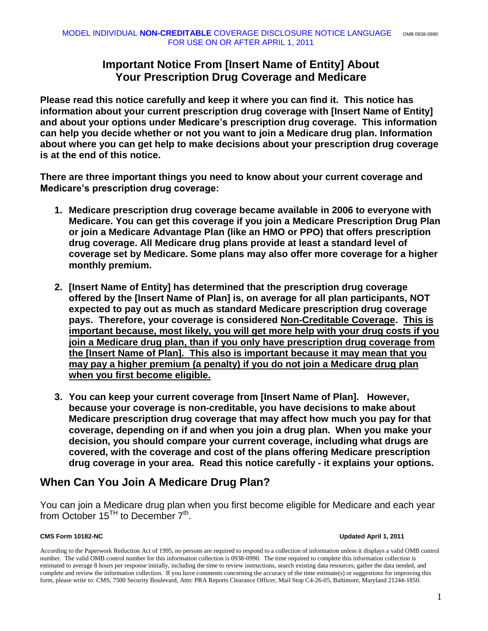## **Important Notice From [Insert Name of Entity] About Your Prescription Drug Coverage and Medicare**

**Please read this notice carefully and keep it where you can find it. This notice has information about your current prescription drug coverage with [Insert Name of Entity] and about your options under Medicare's prescription drug coverage. This information can help you decide whether or not you want to join a Medicare drug plan. Information about where you can get help to make decisions about your prescription drug coverage is at the end of this notice.**

**There are three important things you need to know about your current coverage and Medicare's prescription drug coverage:** 

- **1. Medicare prescription drug coverage became available in 2006 to everyone with Medicare. You can get this coverage if you join a Medicare Prescription Drug Plan or join a Medicare Advantage Plan (like an HMO or PPO) that offers prescription drug coverage. All Medicare drug plans provide at least a standard level of coverage set by Medicare. Some plans may also offer more coverage for a higher monthly premium.**
- **2. [Insert Name of Entity] has determined that the prescription drug coverage offered by the [Insert Name of Plan] is, on average for all plan participants, NOT expected to pay out as much as standard Medicare prescription drug coverage pays. Therefore, your coverage is considered Non-Creditable Coverage. This is important because, most likely, you will get more help with your drug costs if you join a Medicare drug plan, than if you only have prescription drug coverage from the [Insert Name of Plan]. This also is important because it may mean that you may pay a higher premium (a penalty) if you do not join a Medicare drug plan when you first become eligible.**
- **3. You can keep your current coverage from [Insert Name of Plan]. However, because your coverage is non-creditable, you have decisions to make about Medicare prescription drug coverage that may affect how much you pay for that coverage, depending on if and when you join a drug plan. When you make your decision, you should compare your current coverage, including what drugs are covered, with the coverage and cost of the plans offering Medicare prescription drug coverage in your area. Read this notice carefully - it explains your options.**

# **When Can You Join A Medicare Drug Plan?**

You can join a Medicare drug plan when you first become eligible for Medicare and each year from October  $15^{TH}$  to December  $7^{th}$ .

### **CMS Form 10182-NC Updated April 1, 2011**

According to the Paperwork Reduction Act of 1995, no persons are required to respond to a collection of information unless it displays a valid OMB control number. The valid OMB control number for this information collection is 0938-0990. The time required to complete this information collection is estimated to average 8 hours per response initially, including the time to review instructions, search existing data resources, gather the data needed, and complete and review the information collection. If you have comments concerning the accuracy of the time estimate(s) or suggestions for improving this form, please write to: CMS, 7500 Security Boulevard, Attn: PRA Reports Clearance Officer, Mail Stop C4-26-05, Baltimore, Maryland 21244-1850.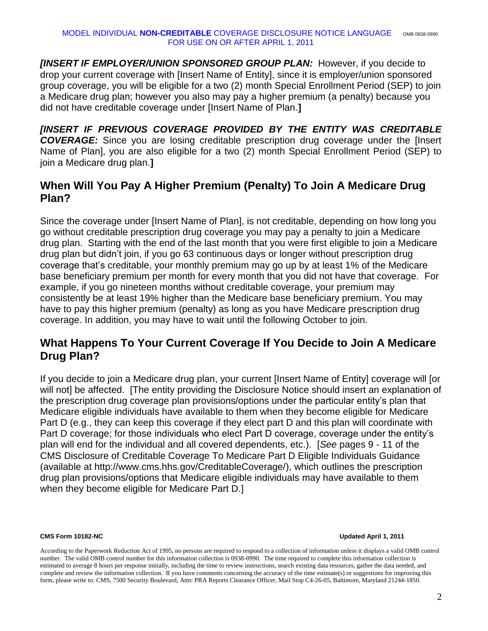*[INSERT IF EMPLOYER/UNION SPONSORED GROUP PLAN:* However, if you decide to drop your current coverage with [Insert Name of Entity], since it is employer/union sponsored group coverage, you will be eligible for a two (2) month Special Enrollment Period (SEP) to join a Medicare drug plan; however you also may pay a higher premium (a penalty) because you did not have creditable coverage under [Insert Name of Plan.**]** 

*[INSERT IF PREVIOUS COVERAGE PROVIDED BY THE ENTITY WAS CREDITABLE COVERAGE:* Since you are losing creditable prescription drug coverage under the [Insert Name of Plan], you are also eligible for a two (2) month Special Enrollment Period (SEP) to join a Medicare drug plan.**]** 

## **When Will You Pay A Higher Premium (Penalty) To Join A Medicare Drug Plan?**

Since the coverage under [Insert Name of Plan], is not creditable, depending on how long you go without creditable prescription drug coverage you may pay a penalty to join a Medicare drug plan. Starting with the end of the last month that you were first eligible to join a Medicare drug plan but didn't join, if you go 63 continuous days or longer without prescription drug coverage that's creditable, your monthly premium may go up by at least 1% of the Medicare base beneficiary premium per month for every month that you did not have that coverage. For example, if you go nineteen months without creditable coverage, your premium may consistently be at least 19% higher than the Medicare base beneficiary premium. You may have to pay this higher premium (penalty) as long as you have Medicare prescription drug coverage. In addition, you may have to wait until the following October to join.

## **What Happens To Your Current Coverage If You Decide to Join A Medicare Drug Plan?**

If you decide to join a Medicare drug plan, your current [Insert Name of Entity] coverage will [or will not] be affected. [The entity providing the Disclosure Notice should insert an explanation of the prescription drug coverage plan provisions/options under the particular entity's plan that Medicare eligible individuals have available to them when they become eligible for Medicare Part D (e.g., they can keep this coverage if they elect part D and this plan will coordinate with Part D coverage; for those individuals who elect Part D coverage, coverage under the entity's plan will end for the individual and all covered dependents, etc.).[*See* pages 9 - 11 of the CMS Disclosure of Creditable Coverage To Medicare Part D Eligible Individuals Guidance (available at http://www.cms.hhs.gov/CreditableCoverage/), which outlines the prescription drug plan provisions/options that Medicare eligible individuals may have available to them when they become eligible for Medicare Part D.]

#### **CMS Form 10182-NC Updated April 1, 2011**

According to the Paperwork Reduction Act of 1995, no persons are required to respond to a collection of information unless it displays a valid OMB control number. The valid OMB control number for this information collection is 0938-0990. The time required to complete this information collection is estimated to average 8 hours per response initially, including the time to review instructions, search existing data resources, gather the data needed, and complete and review the information collection. If you have comments concerning the accuracy of the time estimate(s) or suggestions for improving this form, please write to: CMS, 7500 Security Boulevard, Attn: PRA Reports Clearance Officer, Mail Stop C4-26-05, Baltimore, Maryland 21244-1850.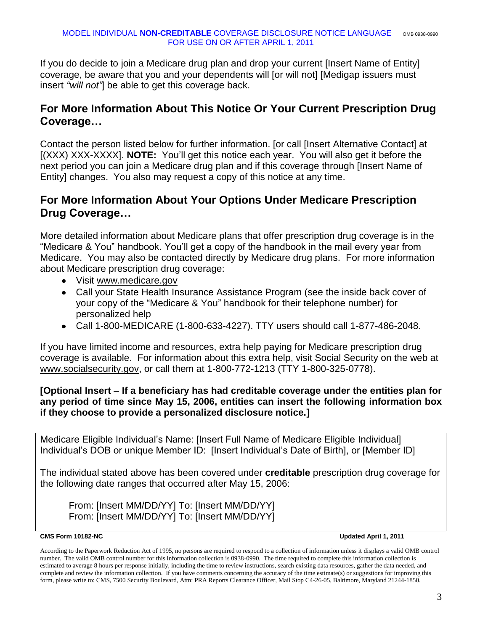If you do decide to join a Medicare drug plan and drop your current [Insert Name of Entity] coverage, be aware that you and your dependents will [or will not] [Medigap issuers must insert *"will not"*] be able to get this coverage back.

# **For More Information About This Notice Or Your Current Prescription Drug Coverage…**

Contact the person listed below for further information. [or call [Insert Alternative Contact] at [(XXX) XXX-XXXX]. **NOTE:** You'll get this notice each year. You will also get it before the next period you can join a Medicare drug plan and if this coverage through [Insert Name of Entity] changes. You also may request a copy of this notice at any time.

# **For More Information About Your Options Under Medicare Prescription Drug Coverage…**

More detailed information about Medicare plans that offer prescription drug coverage is in the "Medicare & You" handbook. You'll get a copy of the handbook in the mail every year from Medicare. You may also be contacted directly by Medicare drug plans. For more information about Medicare prescription drug coverage:

- Visit [www.medicare.gov](http://www.medicare.gov/)
- $\bullet$ Call your State Health Insurance Assistance Program (see the inside back cover of your copy of the "Medicare & You" handbook for their telephone number) for personalized help
- Call 1-800-MEDICARE (1-800-633-4227). TTY users should call 1-877-486-2048.

If you have limited income and resources, extra help paying for Medicare prescription drug coverage is available. For information about this extra help, visit Social Security on the web at [www.socialsecurity.gov,](http://www.socialsecurity.gov/) or call them at 1-800-772-1213 (TTY 1-800-325-0778).

### **[Optional Insert – If a beneficiary has had creditable coverage under the entities plan for any period of time since May 15, 2006, entities can insert the following information box if they choose to provide a personalized disclosure notice.]**

Medicare Eligible Individual's Name: [Insert Full Name of Medicare Eligible Individual] Individual's DOB or unique Member ID: [Insert Individual's Date of Birth], or [Member ID]

The individual stated above has been covered under **creditable** prescription drug coverage for the following date ranges that occurred after May 15, 2006:

From: [Insert MM/DD/YY] To: [Insert MM/DD/YY] From: [Insert MM/DD/YY] To: [Insert MM/DD/YY]

**CMS Form 10182-NC Updated April 1, 2011**

According to the Paperwork Reduction Act of 1995, no persons are required to respond to a collection of information unless it displays a valid OMB control number. The valid OMB control number for this information collection is 0938-0990. The time required to complete this information collection is estimated to average 8 hours per response initially, including the time to review instructions, search existing data resources, gather the data needed, and complete and review the information collection. If you have comments concerning the accuracy of the time estimate(s) or suggestions for improving this form, please write to: CMS, 7500 Security Boulevard, Attn: PRA Reports Clearance Officer, Mail Stop C4-26-05, Baltimore, Maryland 21244-1850.